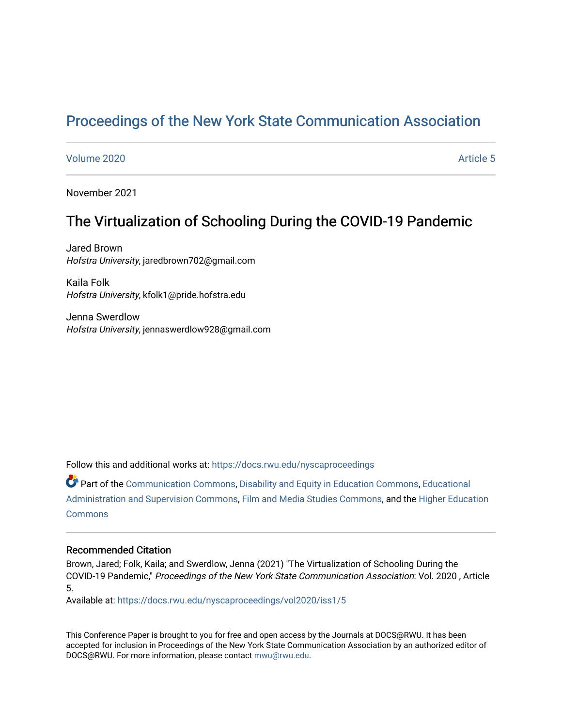# [Proceedings of the New York State Communication Association](https://docs.rwu.edu/nyscaproceedings)

### [Volume 2020](https://docs.rwu.edu/nyscaproceedings/vol2020) **Article 5**

November 2021

# The Virtualization of Schooling During the COVID-19 Pandemic

Jared Brown Hofstra University, jaredbrown702@gmail.com

Kaila Folk Hofstra University, kfolk1@pride.hofstra.edu

Jenna Swerdlow Hofstra University, jennaswerdlow928@gmail.com

Follow this and additional works at: [https://docs.rwu.edu/nyscaproceedings](https://docs.rwu.edu/nyscaproceedings?utm_source=docs.rwu.edu%2Fnyscaproceedings%2Fvol2020%2Fiss1%2F5&utm_medium=PDF&utm_campaign=PDFCoverPages)

Part of the [Communication Commons,](http://network.bepress.com/hgg/discipline/325?utm_source=docs.rwu.edu%2Fnyscaproceedings%2Fvol2020%2Fiss1%2F5&utm_medium=PDF&utm_campaign=PDFCoverPages) [Disability and Equity in Education Commons](http://network.bepress.com/hgg/discipline/1040?utm_source=docs.rwu.edu%2Fnyscaproceedings%2Fvol2020%2Fiss1%2F5&utm_medium=PDF&utm_campaign=PDFCoverPages), [Educational](http://network.bepress.com/hgg/discipline/787?utm_source=docs.rwu.edu%2Fnyscaproceedings%2Fvol2020%2Fiss1%2F5&utm_medium=PDF&utm_campaign=PDFCoverPages)  [Administration and Supervision Commons](http://network.bepress.com/hgg/discipline/787?utm_source=docs.rwu.edu%2Fnyscaproceedings%2Fvol2020%2Fiss1%2F5&utm_medium=PDF&utm_campaign=PDFCoverPages), [Film and Media Studies Commons](http://network.bepress.com/hgg/discipline/563?utm_source=docs.rwu.edu%2Fnyscaproceedings%2Fvol2020%2Fiss1%2F5&utm_medium=PDF&utm_campaign=PDFCoverPages), and the [Higher Education](http://network.bepress.com/hgg/discipline/1245?utm_source=docs.rwu.edu%2Fnyscaproceedings%2Fvol2020%2Fiss1%2F5&utm_medium=PDF&utm_campaign=PDFCoverPages) **[Commons](http://network.bepress.com/hgg/discipline/1245?utm_source=docs.rwu.edu%2Fnyscaproceedings%2Fvol2020%2Fiss1%2F5&utm_medium=PDF&utm_campaign=PDFCoverPages)** 

### Recommended Citation

Brown, Jared; Folk, Kaila; and Swerdlow, Jenna (2021) "The Virtualization of Schooling During the COVID-19 Pandemic," Proceedings of the New York State Communication Association: Vol. 2020 , Article 5.

Available at: [https://docs.rwu.edu/nyscaproceedings/vol2020/iss1/5](https://docs.rwu.edu/nyscaproceedings/vol2020/iss1/5?utm_source=docs.rwu.edu%2Fnyscaproceedings%2Fvol2020%2Fiss1%2F5&utm_medium=PDF&utm_campaign=PDFCoverPages)

This Conference Paper is brought to you for free and open access by the Journals at DOCS@RWU. It has been accepted for inclusion in Proceedings of the New York State Communication Association by an authorized editor of DOCS@RWU. For more information, please contact [mwu@rwu.edu.](mailto:mwu@rwu.edu)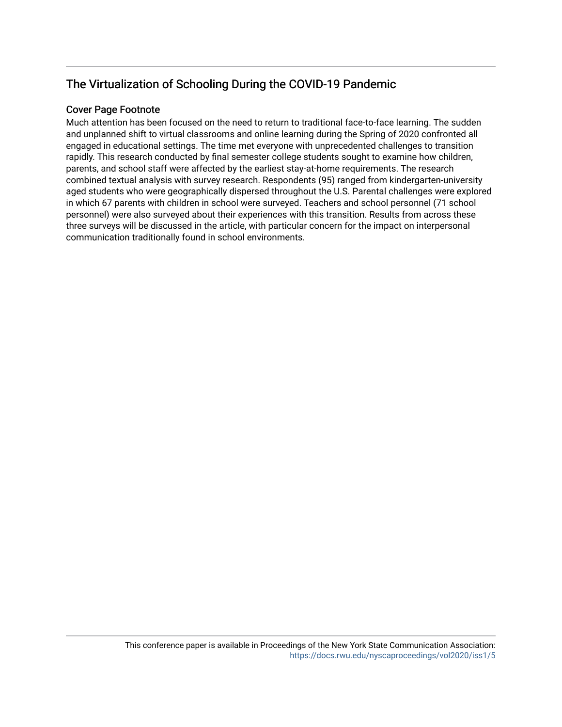# The Virtualization of Schooling During the COVID-19 Pandemic

## Cover Page Footnote

Much attention has been focused on the need to return to traditional face-to-face learning. The sudden and unplanned shift to virtual classrooms and online learning during the Spring of 2020 confronted all engaged in educational settings. The time met everyone with unprecedented challenges to transition rapidly. This research conducted by final semester college students sought to examine how children, parents, and school staff were affected by the earliest stay-at-home requirements. The research combined textual analysis with survey research. Respondents (95) ranged from kindergarten-university aged students who were geographically dispersed throughout the U.S. Parental challenges were explored in which 67 parents with children in school were surveyed. Teachers and school personnel (71 school personnel) were also surveyed about their experiences with this transition. Results from across these three surveys will be discussed in the article, with particular concern for the impact on interpersonal communication traditionally found in school environments.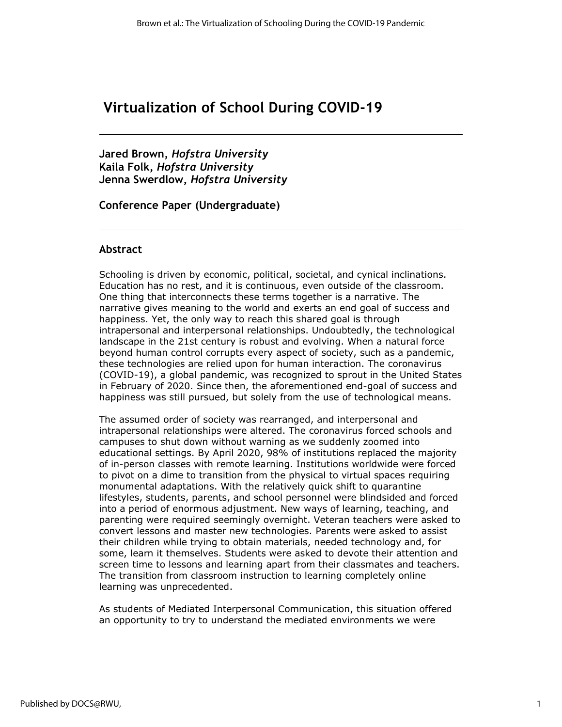# **Virtualization of School During COVID-19**

**Jared Brown,** *Hofstra University* **Kaila Folk,** *Hofstra University* **Jenna Swerdlow,** *Hofstra University*

**Conference Paper (Undergraduate)**

### **Abstract**

Schooling is driven by economic, political, societal, and cynical inclinations. Education has no rest, and it is continuous, even outside of the classroom. One thing that interconnects these terms together is a narrative. The narrative gives meaning to the world and exerts an end goal of success and happiness. Yet, the only way to reach this shared goal is through intrapersonal and interpersonal relationships. Undoubtedly, the technological landscape in the 21st century is robust and evolving. When a natural force beyond human control corrupts every aspect of society, such as a pandemic, these technologies are relied upon for human interaction. The coronavirus (COVID-19), a global pandemic, was recognized to sprout in the United States in February of 2020. Since then, the aforementioned end-goal of success and happiness was still pursued, but solely from the use of technological means.

The assumed order of society was rearranged, and interpersonal and intrapersonal relationships were altered. The coronavirus forced schools and campuses to shut down without warning as we suddenly zoomed into educational settings. By April 2020, 98% of institutions replaced the majority of in-person classes with remote learning. Institutions worldwide were forced to pivot on a dime to transition from the physical to virtual spaces requiring monumental adaptations. With the relatively quick shift to quarantine lifestyles, students, parents, and school personnel were blindsided and forced into a period of enormous adjustment. New ways of learning, teaching, and parenting were required seemingly overnight. Veteran teachers were asked to convert lessons and master new technologies. Parents were asked to assist their children while trying to obtain materials, needed technology and, for some, learn it themselves. Students were asked to devote their attention and screen time to lessons and learning apart from their classmates and teachers. The transition from classroom instruction to learning completely online learning was unprecedented.

As students of Mediated Interpersonal Communication, this situation offered an opportunity to try to understand the mediated environments we were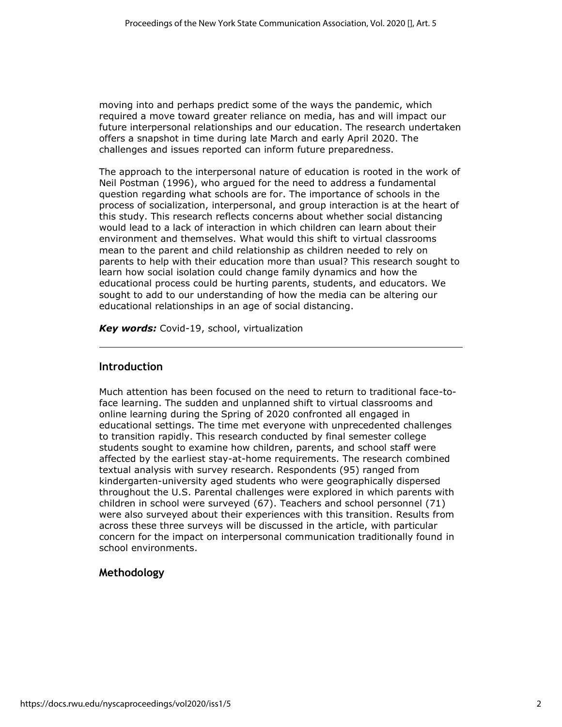moving into and perhaps predict some of the ways the pandemic, which required a move toward greater reliance on media, has and will impact our future interpersonal relationships and our education. The research undertaken offers a snapshot in time during late March and early April 2020. The challenges and issues reported can inform future preparedness.

The approach to the interpersonal nature of education is rooted in the work of Neil Postman (1996), who argued for the need to address a fundamental question regarding what schools are for. The importance of schools in the process of socialization, interpersonal, and group interaction is at the heart of this study. This research reflects concerns about whether social distancing would lead to a lack of interaction in which children can learn about their environment and themselves. What would this shift to virtual classrooms mean to the parent and child relationship as children needed to rely on parents to help with their education more than usual? This research sought to learn how social isolation could change family dynamics and how the educational process could be hurting parents, students, and educators. We sought to add to our understanding of how the media can be altering our educational relationships in an age of social distancing.

*Key words:* Covid-19, school, virtualization

## **Introduction**

Much attention has been focused on the need to return to traditional face-toface learning. The sudden and unplanned shift to virtual classrooms and online learning during the Spring of 2020 confronted all engaged in educational settings. The time met everyone with unprecedented challenges to transition rapidly. This research conducted by final semester college students sought to examine how children, parents, and school staff were affected by the earliest stay-at-home requirements. The research combined textual analysis with survey research. Respondents (95) ranged from kindergarten-university aged students who were geographically dispersed throughout the U.S. Parental challenges were explored in which parents with children in school were surveyed (67). Teachers and school personnel (71) were also surveyed about their experiences with this transition. Results from across these three surveys will be discussed in the article, with particular concern for the impact on interpersonal communication traditionally found in school environments.

# **Methodology**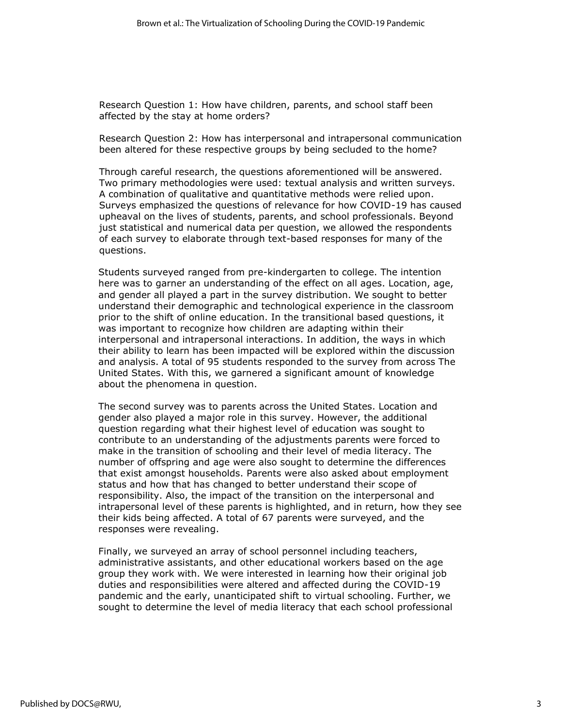Research Question 1: How have children, parents, and school staff been affected by the stay at home orders?

Research Question 2: How has interpersonal and intrapersonal communication been altered for these respective groups by being secluded to the home?

Through careful research, the questions aforementioned will be answered. Two primary methodologies were used: textual analysis and written surveys. A combination of qualitative and quantitative methods were relied upon. Surveys emphasized the questions of relevance for how COVID-19 has caused upheaval on the lives of students, parents, and school professionals. Beyond just statistical and numerical data per question, we allowed the respondents of each survey to elaborate through text-based responses for many of the questions.

Students surveyed ranged from pre-kindergarten to college. The intention here was to garner an understanding of the effect on all ages. Location, age, and gender all played a part in the survey distribution. We sought to better understand their demographic and technological experience in the classroom prior to the shift of online education. In the transitional based questions, it was important to recognize how children are adapting within their interpersonal and intrapersonal interactions. In addition, the ways in which their ability to learn has been impacted will be explored within the discussion and analysis. A total of 95 students responded to the survey from across The United States. With this, we garnered a significant amount of knowledge about the phenomena in question.

The second survey was to parents across the United States. Location and gender also played a major role in this survey. However, the additional question regarding what their highest level of education was sought to contribute to an understanding of the adjustments parents were forced to make in the transition of schooling and their level of media literacy. The number of offspring and age were also sought to determine the differences that exist amongst households. Parents were also asked about employment status and how that has changed to better understand their scope of responsibility. Also, the impact of the transition on the interpersonal and intrapersonal level of these parents is highlighted, and in return, how they see their kids being affected. A total of 67 parents were surveyed, and the responses were revealing.

Finally, we surveyed an array of school personnel including teachers, administrative assistants, and other educational workers based on the age group they work with. We were interested in learning how their original job duties and responsibilities were altered and affected during the COVID-19 pandemic and the early, unanticipated shift to virtual schooling. Further, we sought to determine the level of media literacy that each school professional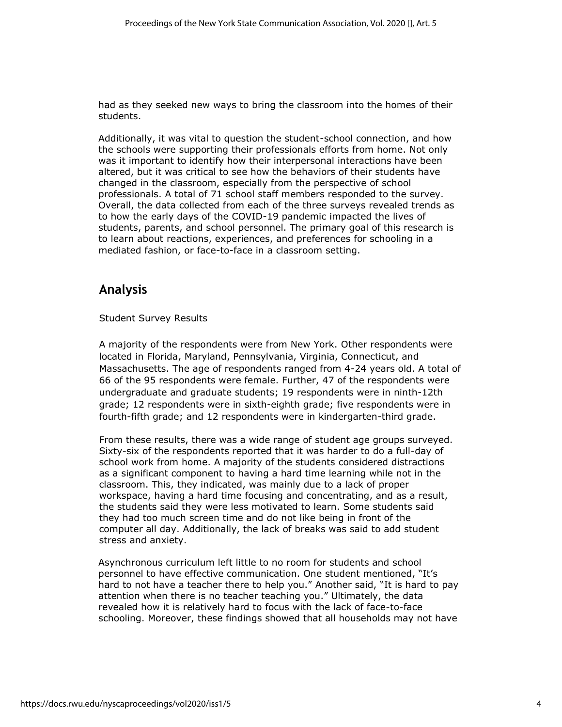had as they seeked new ways to bring the classroom into the homes of their students.

Additionally, it was vital to question the student-school connection, and how the schools were supporting their professionals efforts from home. Not only was it important to identify how their interpersonal interactions have been altered, but it was critical to see how the behaviors of their students have changed in the classroom, especially from the perspective of school professionals. A total of 71 school staff members responded to the survey. Overall, the data collected from each of the three surveys revealed trends as to how the early days of the COVID-19 pandemic impacted the lives of students, parents, and school personnel. The primary goal of this research is to learn about reactions, experiences, and preferences for schooling in a mediated fashion, or face-to-face in a classroom setting.

# **Analysis**

Student Survey Results

A majority of the respondents were from New York. Other respondents were located in Florida, Maryland, Pennsylvania, Virginia, Connecticut, and Massachusetts. The age of respondents ranged from 4-24 years old. A total of 66 of the 95 respondents were female. Further, 47 of the respondents were undergraduate and graduate students; 19 respondents were in ninth-12th grade; 12 respondents were in sixth-eighth grade; five respondents were in fourth-fifth grade; and 12 respondents were in kindergarten-third grade.

From these results, there was a wide range of student age groups surveyed. Sixty-six of the respondents reported that it was harder to do a full-day of school work from home. A majority of the students considered distractions as a significant component to having a hard time learning while not in the classroom. This, they indicated, was mainly due to a lack of proper workspace, having a hard time focusing and concentrating, and as a result, the students said they were less motivated to learn. Some students said they had too much screen time and do not like being in front of the computer all day. Additionally, the lack of breaks was said to add student stress and anxiety.

Asynchronous curriculum left little to no room for students and school personnel to have effective communication. One student mentioned, "It's hard to not have a teacher there to help you." Another said, "It is hard to pay attention when there is no teacher teaching you." Ultimately, the data revealed how it is relatively hard to focus with the lack of face-to-face schooling. Moreover, these findings showed that all households may not have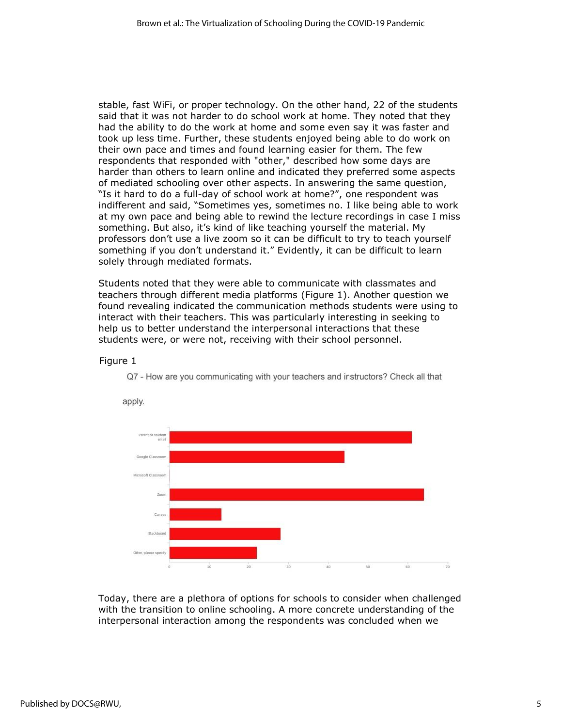stable, fast WiFi, or proper technology. On the other hand, 22 of the students said that it was not harder to do school work at home. They noted that they had the ability to do the work at home and some even say it was faster and took up less time. Further, these students enjoyed being able to do work on their own pace and times and found learning easier for them. The few respondents that responded with "other," described how some days are harder than others to learn online and indicated they preferred some aspects of mediated schooling over other aspects. In answering the same question, "Is it hard to do a full-day of school work at home?", one respondent was indifferent and said, "Sometimes yes, sometimes no. I like being able to work at my own pace and being able to rewind the lecture recordings in case I miss something. But also, it's kind of like teaching yourself the material. My professors don't use a live zoom so it can be difficult to try to teach yourself something if you don't understand it." Evidently, it can be difficult to learn solely through mediated formats.

Students noted that they were able to communicate with classmates and teachers through different media platforms (Figure 1). Another question we found revealing indicated the communication methods students were using to interact with their teachers. This was particularly interesting in seeking to help us to better understand the interpersonal interactions that these students were, or were not, receiving with their school personnel.

### Figure 1



Q7 - How are you communicating with your teachers and instructors? Check all that

Today, there are a plethora of options for schools to consider when challenged with the transition to online schooling. A more concrete understanding of the interpersonal interaction among the respondents was concluded when we

## apply.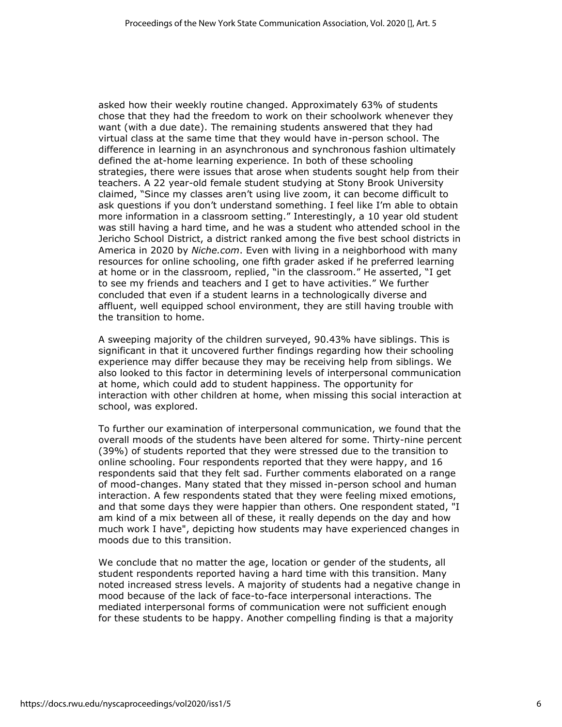asked how their weekly routine changed. Approximately 63% of students chose that they had the freedom to work on their schoolwork whenever they want (with a due date). The remaining students answered that they had virtual class at the same time that they would have in-person school. The difference in learning in an asynchronous and synchronous fashion ultimately defined the at-home learning experience. In both of these schooling strategies, there were issues that arose when students sought help from their teachers. A 22 year-old female student studying at Stony Brook University claimed, "Since my classes aren't using live zoom, it can become difficult to ask questions if you don't understand something. I feel like I'm able to obtain more information in a classroom setting." Interestingly, a 10 year old student was still having a hard time, and he was a student who attended school in the Jericho School District, a district ranked among the five best school districts in America in 2020 by *Niche.com*. Even with living in a neighborhood with many resources for online schooling, one fifth grader asked if he preferred learning at home or in the classroom, replied, "in the classroom." He asserted, "I get to see my friends and teachers and I get to have activities." We further concluded that even if a student learns in a technologically diverse and affluent, well equipped school environment, they are still having trouble with the transition to home.

A sweeping majority of the children surveyed, 90.43% have siblings. This is significant in that it uncovered further findings regarding how their schooling experience may differ because they may be receiving help from siblings. We also looked to this factor in determining levels of interpersonal communication at home, which could add to student happiness. The opportunity for interaction with other children at home, when missing this social interaction at school, was explored.

To further our examination of interpersonal communication, we found that the overall moods of the students have been altered for some. Thirty-nine percent (39%) of students reported that they were stressed due to the transition to online schooling. Four respondents reported that they were happy, and 16 respondents said that they felt sad. Further comments elaborated on a range of mood-changes. Many stated that they missed in-person school and human interaction. A few respondents stated that they were feeling mixed emotions, and that some days they were happier than others. One respondent stated, "I am kind of a mix between all of these, it really depends on the day and how much work I have", depicting how students may have experienced changes in moods due to this transition.

We conclude that no matter the age, location or gender of the students, all student respondents reported having a hard time with this transition. Many noted increased stress levels. A majority of students had a negative change in mood because of the lack of face-to-face interpersonal interactions. The mediated interpersonal forms of communication were not sufficient enough for these students to be happy. Another compelling finding is that a majority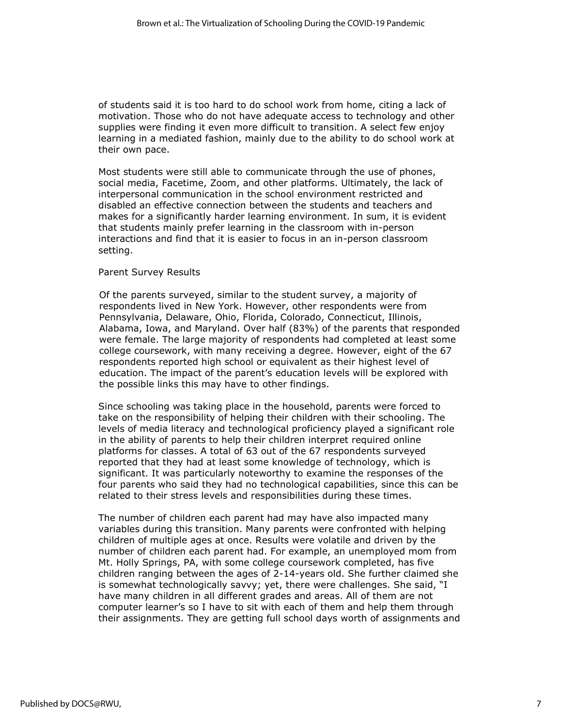of students said it is too hard to do school work from home, citing a lack of motivation. Those who do not have adequate access to technology and other supplies were finding it even more difficult to transition. A select few enjoy learning in a mediated fashion, mainly due to the ability to do school work at their own pace.

Most students were still able to communicate through the use of phones, social media, Facetime, Zoom, and other platforms. Ultimately, the lack of interpersonal communication in the school environment restricted and disabled an effective connection between the students and teachers and makes for a significantly harder learning environment. In sum, it is evident that students mainly prefer learning in the classroom with in-person interactions and find that it is easier to focus in an in-person classroom setting.

### Parent Survey Results

Of the parents surveyed, similar to the student survey, a majority of respondents lived in New York. However, other respondents were from Pennsylvania, Delaware, Ohio, Florida, Colorado, Connecticut, Illinois, Alabama, Iowa, and Maryland. Over half (83%) of the parents that responded were female. The large majority of respondents had completed at least some college coursework, with many receiving a degree. However, eight of the 67 respondents reported high school or equivalent as their highest level of education. The impact of the parent's education levels will be explored with the possible links this may have to other findings.

Since schooling was taking place in the household, parents were forced to take on the responsibility of helping their children with their schooling. The levels of media literacy and technological proficiency played a significant role in the ability of parents to help their children interpret required online platforms for classes. A total of 63 out of the 67 respondents surveyed reported that they had at least some knowledge of technology, which is significant. It was particularly noteworthy to examine the responses of the four parents who said they had no technological capabilities, since this can be related to their stress levels and responsibilities during these times.

The number of children each parent had may have also impacted many variables during this transition. Many parents were confronted with helping children of multiple ages at once. Results were volatile and driven by the number of children each parent had. For example, an unemployed mom from Mt. Holly Springs, PA, with some college coursework completed, has five children ranging between the ages of 2-14-years old. She further claimed she is somewhat technologically savvy; yet, there were challenges. She said, "I have many children in all different grades and areas. All of them are not computer learner's so I have to sit with each of them and help them through their assignments. They are getting full school days worth of assignments and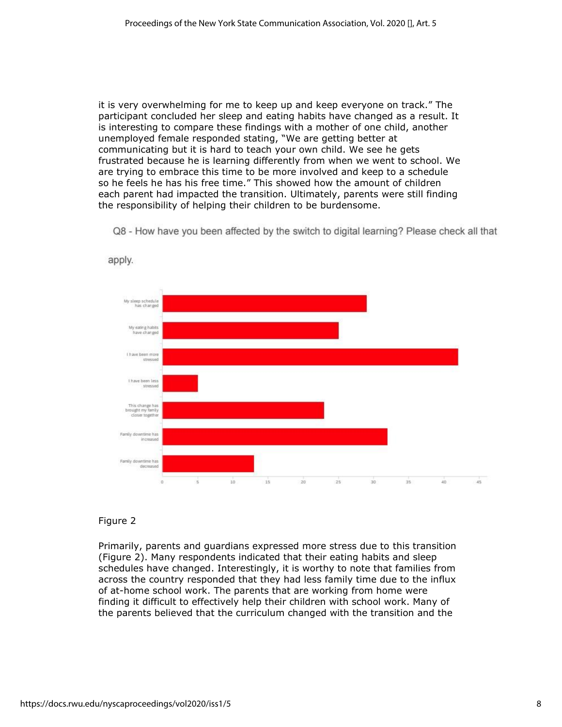it is very overwhelming for me to keep up and keep everyone on track." The participant concluded her sleep and eating habits have changed as a result. It is interesting to compare these findings with a mother of one child, another unemployed female responded stating, "We are getting better at communicating but it is hard to teach your own child. We see he gets frustrated because he is learning differently from when we went to school. We are trying to embrace this time to be more involved and keep to a schedule so he feels he has his free time." This showed how the amount of children each parent had impacted the transition. Ultimately, parents were still finding the responsibility of helping their children to be burdensome.

Q8 - How have you been affected by the switch to digital learning? Please check all that



apply.

## Figure 2

Primarily, parents and guardians expressed more stress due to this transition (Figure 2). Many respondents indicated that their eating habits and sleep schedules have changed. Interestingly, it is worthy to note that families from across the country responded that they had less family time due to the influx of at-home school work. The parents that are working from home were finding it difficult to effectively help their children with school work. Many of the parents believed that the curriculum changed with the transition and the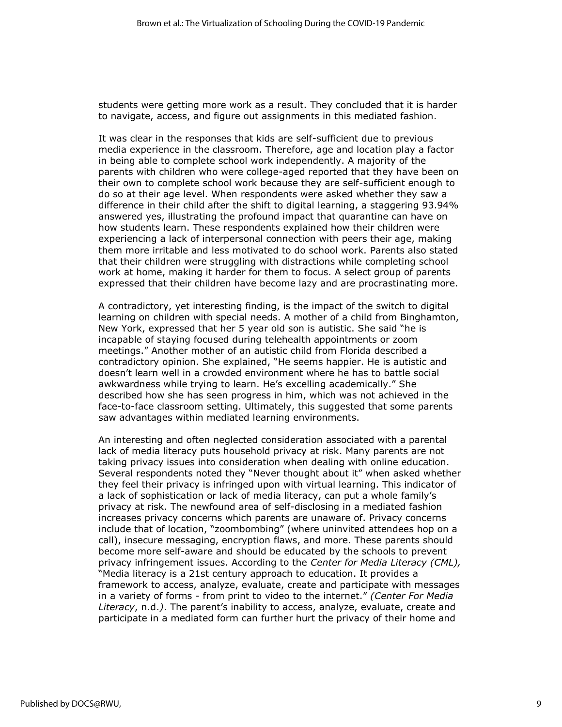students were getting more work as a result. They concluded that it is harder to navigate, access, and figure out assignments in this mediated fashion.

It was clear in the responses that kids are self-sufficient due to previous media experience in the classroom. Therefore, age and location play a factor in being able to complete school work independently. A majority of the parents with children who were college-aged reported that they have been on their own to complete school work because they are self-sufficient enough to do so at their age level. When respondents were asked whether they saw a difference in their child after the shift to digital learning, a staggering 93.94% answered yes, illustrating the profound impact that quarantine can have on how students learn. These respondents explained how their children were experiencing a lack of interpersonal connection with peers their age, making them more irritable and less motivated to do school work. Parents also stated that their children were struggling with distractions while completing school work at home, making it harder for them to focus. A select group of parents expressed that their children have become lazy and are procrastinating more.

A contradictory, yet interesting finding, is the impact of the switch to digital learning on children with special needs. A mother of a child from Binghamton, New York, expressed that her 5 year old son is autistic. She said "he is incapable of staying focused during telehealth appointments or zoom meetings." Another mother of an autistic child from Florida described a contradictory opinion. She explained, "He seems happier. He is autistic and doesn't learn well in a crowded environment where he has to battle social awkwardness while trying to learn. He's excelling academically." She described how she has seen progress in him, which was not achieved in the face-to-face classroom setting. Ultimately, this suggested that some parents saw advantages within mediated learning environments.

An interesting and often neglected consideration associated with a parental lack of media literacy puts household privacy at risk. Many parents are not taking privacy issues into consideration when dealing with online education. Several respondents noted they "Never thought about it" when asked whether they feel their privacy is infringed upon with virtual learning. This indicator of a lack of sophistication or lack of media literacy, can put a whole family's privacy at risk. The newfound area of self-disclosing in a mediated fashion increases privacy concerns which parents are unaware of. Privacy concerns include that of location, "zoombombing" (where uninvited attendees hop on a call), insecure messaging, encryption flaws, and more. These parents should become more self-aware and should be educated by the schools to prevent privacy infringement issues. According to the *Center for Media Literacy (CML),*  "Media literacy is a 21st century approach to education. It provides a framework to access, analyze, evaluate, create and participate with messages in a variety of forms - from print to video to the internet." *(Center For Media Literacy*, n.d.*)*. The parent's inability to access, analyze, evaluate, create and participate in a mediated form can further hurt the privacy of their home and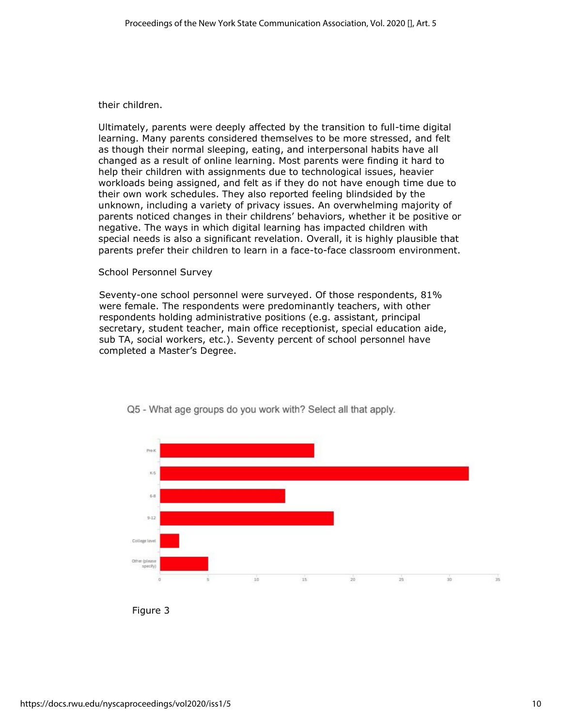their children.

Ultimately, parents were deeply affected by the transition to full-time digital learning. Many parents considered themselves to be more stressed, and felt as though their normal sleeping, eating, and interpersonal habits have all changed as a result of online learning. Most parents were finding it hard to help their children with assignments due to technological issues, heavier workloads being assigned, and felt as if they do not have enough time due to their own work schedules. They also reported feeling blindsided by the unknown, including a variety of privacy issues. An overwhelming majority of parents noticed changes in their childrens' behaviors, whether it be positive or negative. The ways in which digital learning has impacted children with special needs is also a significant revelation. Overall, it is highly plausible that parents prefer their children to learn in a face-to-face classroom environment.

### School Personnel Survey

Seventy-one school personnel were surveyed. Of those respondents, 81% were female. The respondents were predominantly teachers, with other respondents holding administrative positions (e.g. assistant, principal secretary, student teacher, main office receptionist, special education aide, sub TA, social workers, etc.). Seventy percent of school personnel have completed a Master's Degree.





Figure 3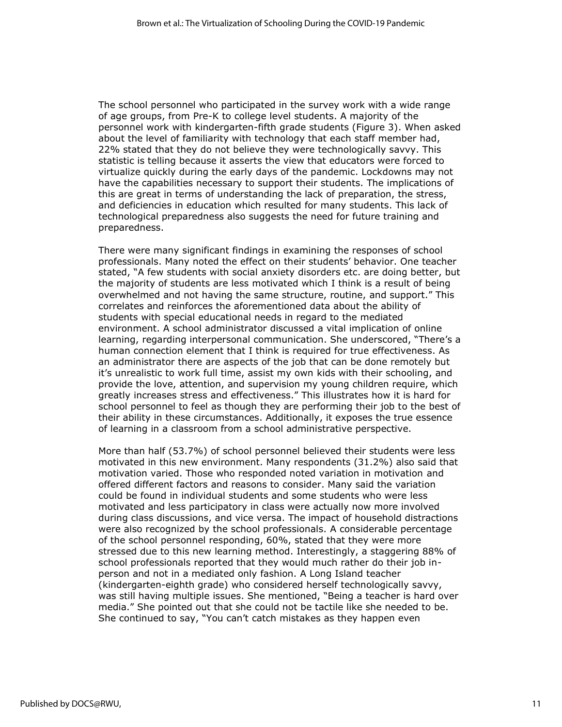The school personnel who participated in the survey work with a wide range of age groups, from Pre-K to college level students. A majority of the personnel work with kindergarten-fifth grade students (Figure 3). When asked about the level of familiarity with technology that each staff member had, 22% stated that they do not believe they were technologically savvy. This statistic is telling because it asserts the view that educators were forced to virtualize quickly during the early days of the pandemic. Lockdowns may not have the capabilities necessary to support their students. The implications of this are great in terms of understanding the lack of preparation, the stress, and deficiencies in education which resulted for many students. This lack of technological preparedness also suggests the need for future training and preparedness.

There were many significant findings in examining the responses of school professionals. Many noted the effect on their students' behavior. One teacher stated, "A few students with social anxiety disorders etc. are doing better, but the majority of students are less motivated which I think is a result of being overwhelmed and not having the same structure, routine, and support." This correlates and reinforces the aforementioned data about the ability of students with special educational needs in regard to the mediated environment. A school administrator discussed a vital implication of online learning, regarding interpersonal communication. She underscored, "There's a human connection element that I think is required for true effectiveness. As an administrator there are aspects of the job that can be done remotely but it's unrealistic to work full time, assist my own kids with their schooling, and provide the love, attention, and supervision my young children require, which greatly increases stress and effectiveness." This illustrates how it is hard for school personnel to feel as though they are performing their job to the best of their ability in these circumstances. Additionally, it exposes the true essence of learning in a classroom from a school administrative perspective.

More than half (53.7%) of school personnel believed their students were less motivated in this new environment. Many respondents (31.2%) also said that motivation varied. Those who responded noted variation in motivation and offered different factors and reasons to consider. Many said the variation could be found in individual students and some students who were less motivated and less participatory in class were actually now more involved during class discussions, and vice versa. The impact of household distractions were also recognized by the school professionals. A considerable percentage of the school personnel responding, 60%, stated that they were more stressed due to this new learning method. Interestingly, a staggering 88% of school professionals reported that they would much rather do their job inperson and not in a mediated only fashion. A Long Island teacher (kindergarten-eighth grade) who considered herself technologically savvy, was still having multiple issues. She mentioned, "Being a teacher is hard over media." She pointed out that she could not be tactile like she needed to be. She continued to say, "You can't catch mistakes as they happen even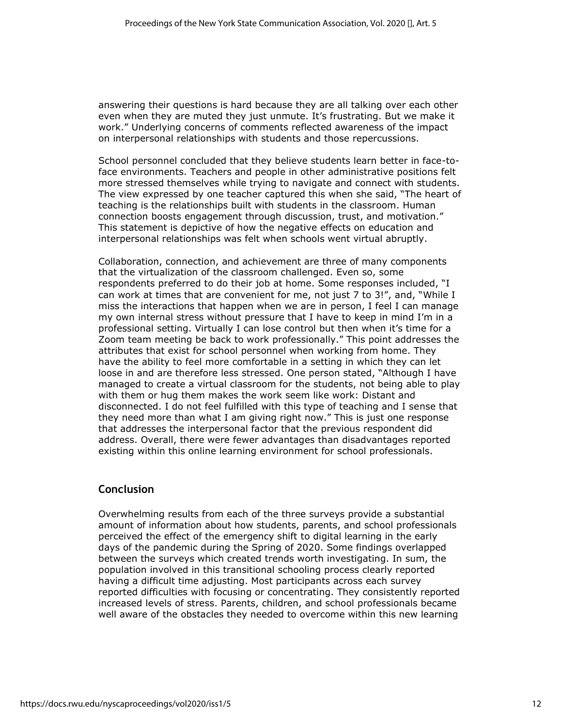answering their questions is hard because they are all talking over each other even when they are muted they just unmute. It's frustrating. But we make it work." Underlying concerns of comments reflected awareness of the impact on interpersonal relationships with students and those repercussions.

School personnel concluded that they believe students learn better in face-toface environments. Teachers and people in other administrative positions felt more stressed themselves while trying to navigate and connect with students. The view expressed by one teacher captured this when she said, "The heart of teaching is the relationships built with students in the classroom. Human connection boosts engagement through discussion, trust, and motivation." This statement is depictive of how the negative effects on education and interpersonal relationships was felt when schools went virtual abruptly.

Collaboration, connection, and achievement are three of many components that the virtualization of the classroom challenged. Even so, some respondents preferred to do their job at home. Some responses included, "I can work at times that are convenient for me, not just 7 to 3!", and, "While I miss the interactions that happen when we are in person, I feel I can manage my own internal stress without pressure that I have to keep in mind I'm in a professional setting. Virtually I can lose control but then when it's time for a Zoom team meeting be back to work professionally." This point addresses the attributes that exist for school personnel when working from home. They have the ability to feel more comfortable in a setting in which they can let loose in and are therefore less stressed. One person stated, "Although I have managed to create a virtual classroom for the students, not being able to play with them or hug them makes the work seem like work: Distant and disconnected. I do not feel fulfilled with this type of teaching and I sense that they need more than what I am giving right now." This is just one response that addresses the interpersonal factor that the previous respondent did address. Overall, there were fewer advantages than disadvantages reported existing within this online learning environment for school professionals.

## **Conclusion**

Overwhelming results from each of the three surveys provide a substantial amount of information about how students, parents, and school professionals perceived the effect of the emergency shift to digital learning in the early days of the pandemic during the Spring of 2020. Some findings overlapped between the surveys which created trends worth investigating. In sum, the population involved in this transitional schooling process clearly reported having a difficult time adjusting. Most participants across each survey reported difficulties with focusing or concentrating. They consistently reported increased levels of stress. Parents, children, and school professionals became well aware of the obstacles they needed to overcome within this new learning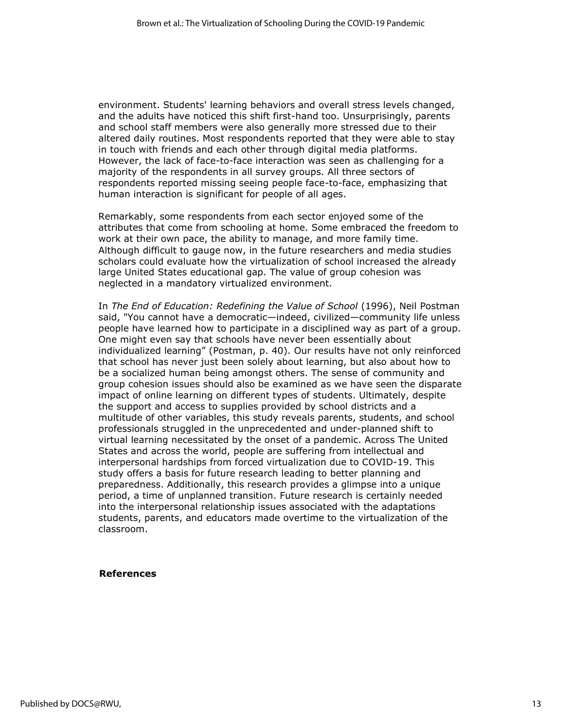environment. Students' learning behaviors and overall stress levels changed, and the adults have noticed this shift first-hand too. Unsurprisingly, parents and school staff members were also generally more stressed due to their altered daily routines. Most respondents reported that they were able to stay in touch with friends and each other through digital media platforms. However, the lack of face-to-face interaction was seen as challenging for a majority of the respondents in all survey groups. All three sectors of respondents reported missing seeing people face-to-face, emphasizing that human interaction is significant for people of all ages.

Remarkably, some respondents from each sector enjoyed some of the attributes that come from schooling at home. Some embraced the freedom to work at their own pace, the ability to manage, and more family time. Although difficult to gauge now, in the future researchers and media studies scholars could evaluate how the virtualization of school increased the already large United States educational gap. The value of group cohesion was neglected in a mandatory virtualized environment.

In *The End of Education: Redefining the Value of School* (1996), Neil Postman said, "You cannot have a democratic—indeed, civilized—community life unless people have learned how to participate in a disciplined way as part of a group. One might even say that schools have never been essentially about individualized learning" (Postman, p. 40). Our results have not only reinforced that school has never just been solely about learning, but also about how to be a socialized human being amongst others. The sense of community and group cohesion issues should also be examined as we have seen the disparate impact of online learning on different types of students. Ultimately, despite the support and access to supplies provided by school districts and a multitude of other variables, this study reveals parents, students, and school professionals struggled in the unprecedented and under-planned shift to virtual learning necessitated by the onset of a pandemic. Across The United States and across the world, people are suffering from intellectual and interpersonal hardships from forced virtualization due to COVID-19. This study offers a basis for future research leading to better planning and preparedness. Additionally, this research provides a glimpse into a unique period, a time of unplanned transition. Future research is certainly needed into the interpersonal relationship issues associated with the adaptations students, parents, and educators made overtime to the virtualization of the classroom.

### **References**